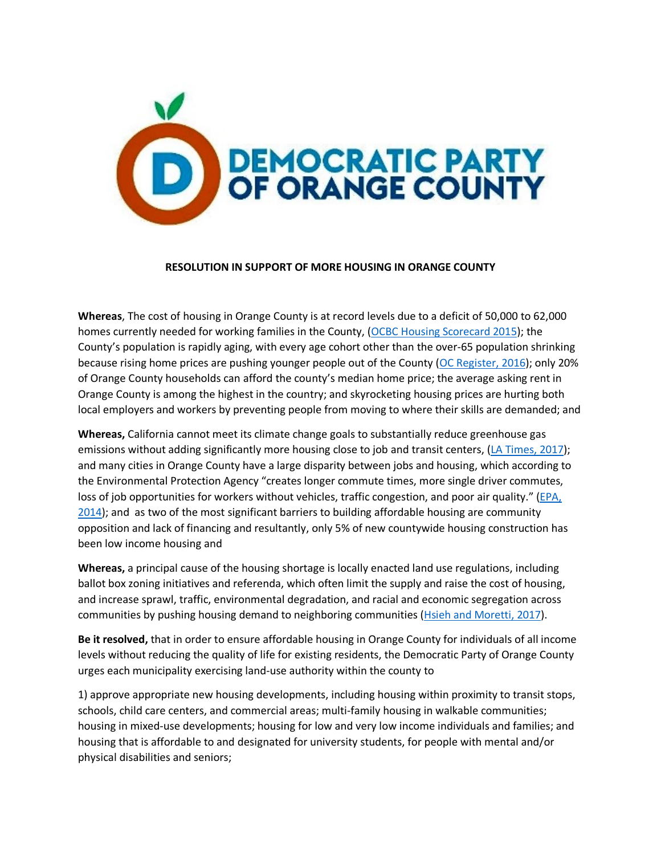

## **RESOLUTION IN SUPPORT OF MORE HOUSING IN ORANGE COUNTY**

**Whereas**, The cost of housing in Orange County is at record levels due to a deficit of 50,000 to 62,000 homes currently needed for working families in the County, (OCBC Housing Scorecard 2015); the County's population is rapidly aging, with every age cohort other than the over-65 population shrinking because rising home prices are pushing younger people out of the County (OC Register, 2016); only 20% of Orange County households can afford the county's median home price; the average asking rent in Orange County is among the highest in the country; and skyrocketing housing prices are hurting both local employers and workers by preventing people from moving to where their skills are demanded; and

**Whereas,** California cannot meet its climate change goals to substantially reduce greenhouse gas emissions without adding significantly more housing close to job and transit centers, (LA Times, 2017); and many cities in Orange County have a large disparity between jobs and housing, which according to the Environmental Protection Agency "creates longer commute times, more single driver commutes, loss of job opportunities for workers without vehicles, traffic congestion, and poor air quality." (EPA, 2014); and as two of the most significant barriers to building affordable housing are community opposition and lack of financing and resultantly, only 5% of new countywide housing construction has been low income housing and

**Whereas,** a principal cause of the housing shortage is locally enacted land use regulations, including ballot box zoning initiatives and referenda, which often limit the supply and raise the cost of housing, and increase sprawl, traffic, environmental degradation, and racial and economic segregation across communities by pushing housing demand to neighboring communities (Hsieh and Moretti, 2017).

**Be it resolved,** that in order to ensure affordable housing in Orange County for individuals of all income levels without reducing the quality of life for existing residents, the Democratic Party of Orange County urges each municipality exercising land-use authority within the county to

1) approve appropriate new housing developments, including housing within proximity to transit stops, schools, child care centers, and commercial areas; multi-family housing in walkable communities; housing in mixed-use developments; housing for low and very low income individuals and families; and housing that is affordable to and designated for university students, for people with mental and/or physical disabilities and seniors;